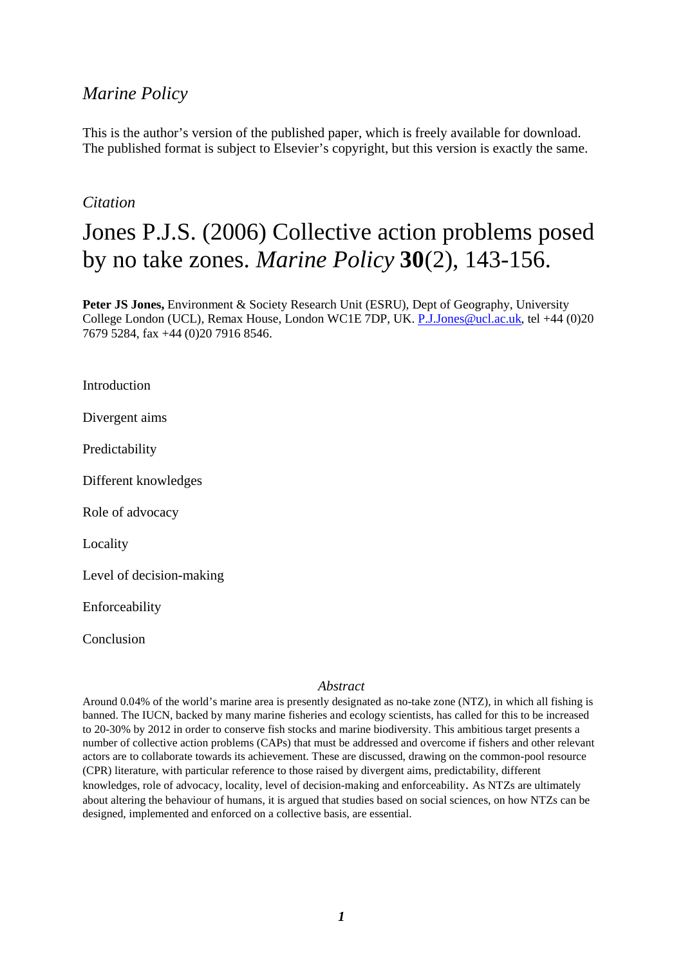# *Marine Policy*

This is the author's version of the published paper, which is freely available for download. The published format is subject to Elsevier's copyright, but this version is exactly the same.

# *Citation*

# Jones P.J.S. (2006) Collective action problems posed by no take zones. *Marine Policy* **30**(2), 143-156.

Peter JS Jones, Environment & Society Research Unit (ESRU), Dept of Geography, University College London (UCL), Remax House, London WC1E 7DP, UK. P.J.Jones@ucl.ac.uk, tel +44 (0)20 7679 5284, fax +44 (0)20 7916 8546.

Introduction

Divergent aims

Predictability

Different knowledges

Role of advocacy

Locality

Level of decision-making

Enforceability

Conclusion

## *Abstract*

Around 0.04% of the world's marine area is presently designated as no-take zone (NTZ), in which all fishing is banned. The IUCN, backed by many marine fisheries and ecology scientists, has called for this to be increased to 20-30% by 2012 in order to conserve fish stocks and marine biodiversity. This ambitious target presents a number of collective action problems (CAPs) that must be addressed and overcome if fishers and other relevant actors are to collaborate towards its achievement. These are discussed, drawing on the common-pool resource (CPR) literature, with particular reference to those raised by divergent aims, predictability, different knowledges, role of advocacy, locality, level of decision-making and enforceability. As NTZs are ultimately about altering the behaviour of humans, it is argued that studies based on social sciences, on how NTZs can be designed, implemented and enforced on a collective basis, are essential.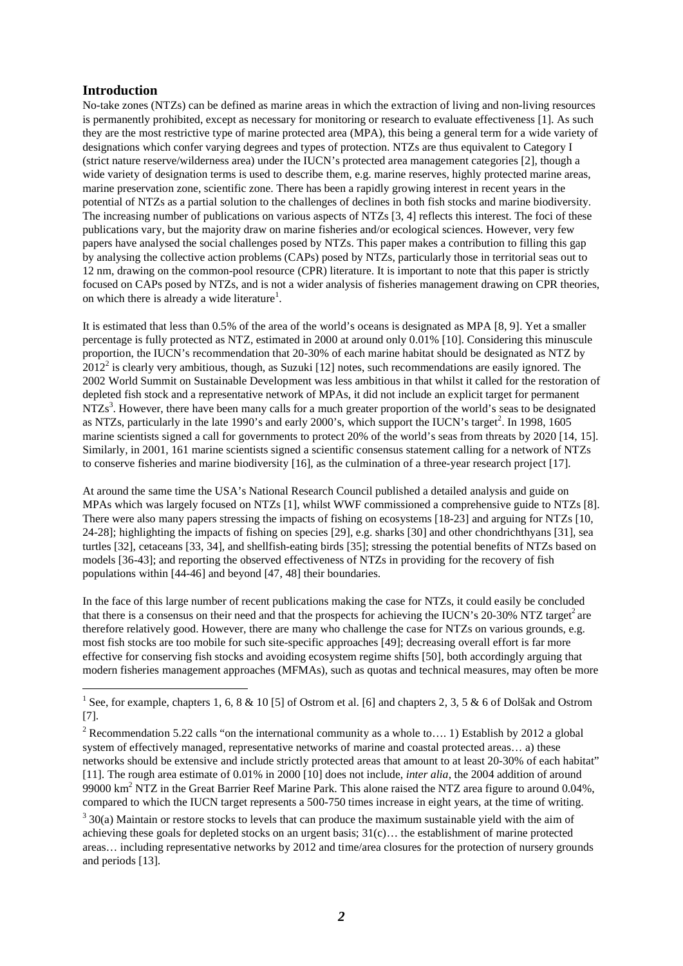# **Introduction**

1

No-take zones (NTZs) can be defined as marine areas in which the extraction of living and non-living resources is permanently prohibited, except as necessary for monitoring or research to evaluate effectiveness [1]. As such they are the most restrictive type of marine protected area (MPA), this being a general term for a wide variety of designations which confer varying degrees and types of protection. NTZs are thus equivalent to Category I (strict nature reserve/wilderness area) under the IUCN's protected area management categories [2], though a wide variety of designation terms is used to describe them, e.g. marine reserves, highly protected marine areas, marine preservation zone, scientific zone. There has been a rapidly growing interest in recent years in the potential of NTZs as a partial solution to the challenges of declines in both fish stocks and marine biodiversity. The increasing number of publications on various aspects of NTZs [3, 4] reflects this interest. The foci of these publications vary, but the majority draw on marine fisheries and/or ecological sciences. However, very few papers have analysed the social challenges posed by NTZs. This paper makes a contribution to filling this gap by analysing the collective action problems (CAPs) posed by NTZs, particularly those in territorial seas out to 12 nm, drawing on the common-pool resource (CPR) literature. It is important to note that this paper is strictly focused on CAPs posed by NTZs, and is not a wider analysis of fisheries management drawing on CPR theories, on which there is already a wide literature<sup>1</sup>.

It is estimated that less than 0.5% of the area of the world's oceans is designated as MPA [8, 9]. Yet a smaller percentage is fully protected as NTZ, estimated in 2000 at around only 0.01% [10]. Considering this minuscule proportion, the IUCN's recommendation that 20-30% of each marine habitat should be designated as NTZ by  $2012<sup>2</sup>$  is clearly very ambitious, though, as Suzuki [12] notes, such recommendations are easily ignored. The 2002 World Summit on Sustainable Development was less ambitious in that whilst it called for the restoration of depleted fish stock and a representative network of MPAs, it did not include an explicit target for permanent NTZs<sup>3</sup>. However, there have been many calls for a much greater proportion of the world's seas to be designated as NTZs, particularly in the late 1990's and early 2000's, which support the IUCN's target<sup>2</sup>. In 1998, 1605 marine scientists signed a call for governments to protect 20% of the world's seas from threats by 2020 [14, 15]. Similarly, in 2001, 161 marine scientists signed a scientific consensus statement calling for a network of NTZs to conserve fisheries and marine biodiversity [16], as the culmination of a three-year research project [17].

At around the same time the USA's National Research Council published a detailed analysis and guide on MPAs which was largely focused on NTZs [1], whilst WWF commissioned a comprehensive guide to NTZs [8]. There were also many papers stressing the impacts of fishing on ecosystems [18-23] and arguing for NTZs [10, 24-28]; highlighting the impacts of fishing on species [29], e.g. sharks [30] and other chondrichthyans [31], sea turtles [32], cetaceans [33, 34], and shellfish-eating birds [35]; stressing the potential benefits of NTZs based on models [36-43]; and reporting the observed effectiveness of NTZs in providing for the recovery of fish populations within [44-46] and beyond [47, 48] their boundaries.

In the face of this large number of recent publications making the case for NTZs, it could easily be concluded that there is a consensus on their need and that the prospects for achieving the IUCN's 20-30% NTZ target<sup>2</sup> are therefore relatively good. However, there are many who challenge the case for NTZs on various grounds, e.g. most fish stocks are too mobile for such site-specific approaches [49]; decreasing overall effort is far more effective for conserving fish stocks and avoiding ecosystem regime shifts [50], both accordingly arguing that modern fisheries management approaches (MFMAs), such as quotas and technical measures, may often be more

<sup>&</sup>lt;sup>1</sup> See, for example, chapters 1, 6, 8 & 10 [5] of Ostrom et al. [6] and chapters 2, 3, 5 & 6 of Dolšak and Ostrom [7].

<sup>&</sup>lt;sup>2</sup> Recommendation 5.22 calls "on the international community as a whole to.... 1) Establish by 2012 a global system of effectively managed, representative networks of marine and coastal protected areas... a) these networks should be extensive and include strictly protected areas that amount to at least 20-30% of each habitat" [11]. The rough area estimate of 0.01% in 2000 [10] does not include, *inter alia*, the 2004 addition of around 99000 km<sup>2</sup> NTZ in the Great Barrier Reef Marine Park. This alone raised the NTZ area figure to around 0.04%, compared to which the IUCN target represents a 500-750 times increase in eight years, at the time of writing.

 $3\,30(a)$  Maintain or restore stocks to levels that can produce the maximum sustainable yield with the aim of achieving these goals for depleted stocks on an urgent basis; 31(c)… the establishment of marine protected areas… including representative networks by 2012 and time/area closures for the protection of nursery grounds and periods [13].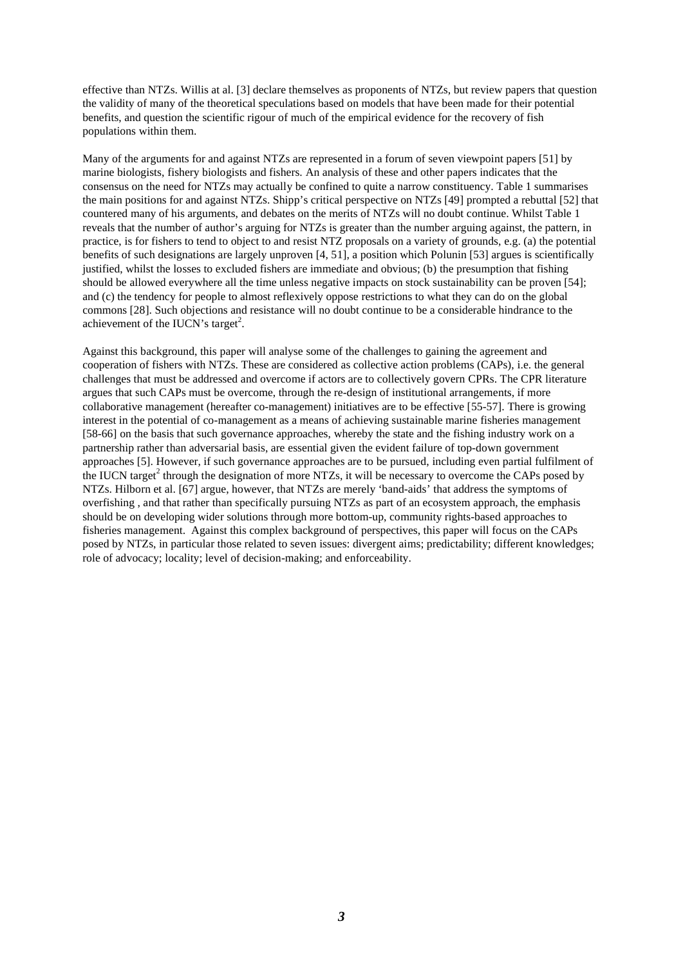effective than NTZs. Willis at al. [3] declare themselves as proponents of NTZs, but review papers that question the validity of many of the theoretical speculations based on models that have been made for their potential benefits, and question the scientific rigour of much of the empirical evidence for the recovery of fish populations within them.

Many of the arguments for and against NTZs are represented in a forum of seven viewpoint papers [51] by marine biologists, fishery biologists and fishers. An analysis of these and other papers indicates that the consensus on the need for NTZs may actually be confined to quite a narrow constituency. Table 1 summarises the main positions for and against NTZs. Shipp's critical perspective on NTZs [49] prompted a rebuttal [52] that countered many of his arguments, and debates on the merits of NTZs will no doubt continue. Whilst Table 1 reveals that the number of author's arguing for NTZs is greater than the number arguing against, the pattern, in practice, is for fishers to tend to object to and resist NTZ proposals on a variety of grounds, e.g. (a) the potential benefits of such designations are largely unproven [4, 51], a position which Polunin [53] argues is scientifically justified, whilst the losses to excluded fishers are immediate and obvious; (b) the presumption that fishing should be allowed everywhere all the time unless negative impacts on stock sustainability can be proven [54]; and (c) the tendency for people to almost reflexively oppose restrictions to what they can do on the global commons [28]. Such objections and resistance will no doubt continue to be a considerable hindrance to the achievement of the IUCN's target<sup>2</sup>.

Against this background, this paper will analyse some of the challenges to gaining the agreement and cooperation of fishers with NTZs. These are considered as collective action problems (CAPs), i.e. the general challenges that must be addressed and overcome if actors are to collectively govern CPRs. The CPR literature argues that such CAPs must be overcome, through the re-design of institutional arrangements, if more collaborative management (hereafter co-management) initiatives are to be effective [55-57]. There is growing interest in the potential of co-management as a means of achieving sustainable marine fisheries management [58-66] on the basis that such governance approaches, whereby the state and the fishing industry work on a partnership rather than adversarial basis, are essential given the evident failure of top-down government approaches [5]. However, if such governance approaches are to be pursued, including even partial fulfilment of the IUCN target<sup>2</sup> through the designation of more NTZs, it will be necessary to overcome the CAPs posed by NTZs. Hilborn et al. [67] argue, however, that NTZs are merely 'band-aids' that address the symptoms of overfishing , and that rather than specifically pursuing NTZs as part of an ecosystem approach, the emphasis should be on developing wider solutions through more bottom-up, community rights-based approaches to fisheries management. Against this complex background of perspectives, this paper will focus on the CAPs posed by NTZs, in particular those related to seven issues: divergent aims; predictability; different knowledges; role of advocacy; locality; level of decision-making; and enforceability.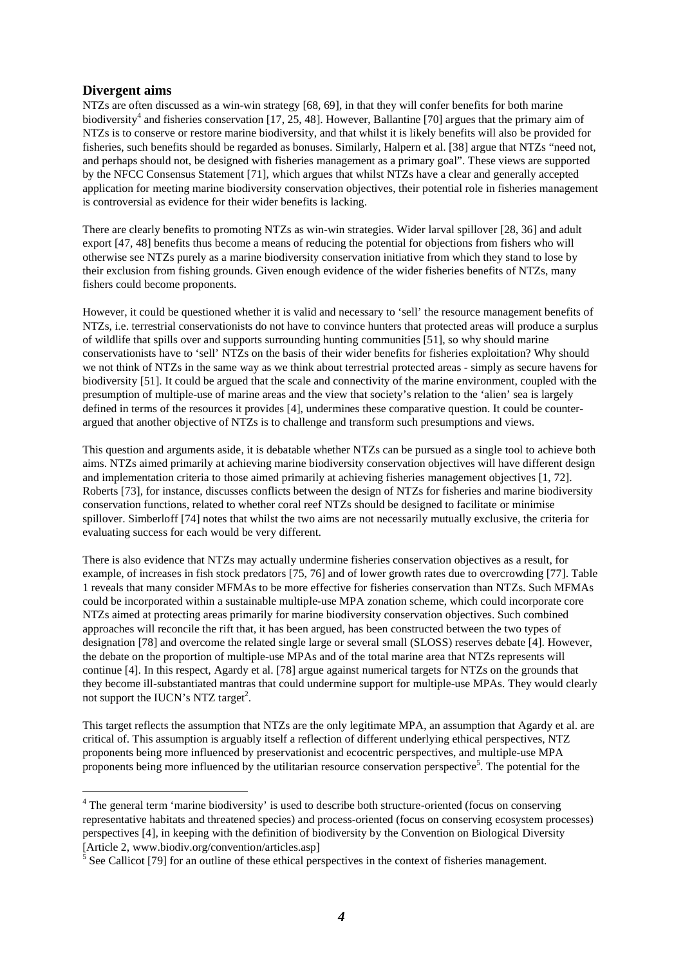# **Divergent aims**

1

NTZs are often discussed as a win-win strategy [68, 69], in that they will confer benefits for both marine biodiversity<sup>4</sup> and fisheries conservation [17, 25, 48]. However, Ballantine [70] argues that the primary aim of NTZs is to conserve or restore marine biodiversity, and that whilst it is likely benefits will also be provided for fisheries, such benefits should be regarded as bonuses. Similarly, Halpern et al. [38] argue that NTZs "need not, and perhaps should not, be designed with fisheries management as a primary goal". These views are supported by the NFCC Consensus Statement [71], which argues that whilst NTZs have a clear and generally accepted application for meeting marine biodiversity conservation objectives, their potential role in fisheries management is controversial as evidence for their wider benefits is lacking.

There are clearly benefits to promoting NTZs as win-win strategies. Wider larval spillover [28, 36] and adult export [47, 48] benefits thus become a means of reducing the potential for objections from fishers who will otherwise see NTZs purely as a marine biodiversity conservation initiative from which they stand to lose by their exclusion from fishing grounds. Given enough evidence of the wider fisheries benefits of NTZs, many fishers could become proponents.

However, it could be questioned whether it is valid and necessary to 'sell' the resource management benefits of NTZs, i.e. terrestrial conservationists do not have to convince hunters that protected areas will produce a surplus of wildlife that spills over and supports surrounding hunting communities [51], so why should marine conservationists have to 'sell' NTZs on the basis of their wider benefits for fisheries exploitation? Why should we not think of NTZs in the same way as we think about terrestrial protected areas - simply as secure havens for biodiversity [51]. It could be argued that the scale and connectivity of the marine environment, coupled with the presumption of multiple-use of marine areas and the view that society's relation to the 'alien' sea is largely defined in terms of the resources it provides [4], undermines these comparative question. It could be counterargued that another objective of NTZs is to challenge and transform such presumptions and views.

This question and arguments aside, it is debatable whether NTZs can be pursued as a single tool to achieve both aims. NTZs aimed primarily at achieving marine biodiversity conservation objectives will have different design and implementation criteria to those aimed primarily at achieving fisheries management objectives [1, 72]. Roberts [73], for instance, discusses conflicts between the design of NTZs for fisheries and marine biodiversity conservation functions, related to whether coral reef NTZs should be designed to facilitate or minimise spillover. Simberloff [74] notes that whilst the two aims are not necessarily mutually exclusive, the criteria for evaluating success for each would be very different.

There is also evidence that NTZs may actually undermine fisheries conservation objectives as a result, for example, of increases in fish stock predators [75, 76] and of lower growth rates due to overcrowding [77]. Table 1 reveals that many consider MFMAs to be more effective for fisheries conservation than NTZs. Such MFMAs could be incorporated within a sustainable multiple-use MPA zonation scheme, which could incorporate core NTZs aimed at protecting areas primarily for marine biodiversity conservation objectives. Such combined approaches will reconcile the rift that, it has been argued, has been constructed between the two types of designation [78] and overcome the related single large or several small (SLOSS) reserves debate [4]. However, the debate on the proportion of multiple-use MPAs and of the total marine area that NTZs represents will continue [4]. In this respect, Agardy et al. [78] argue against numerical targets for NTZs on the grounds that they become ill-substantiated mantras that could undermine support for multiple-use MPAs. They would clearly not support the IUCN's NTZ target<sup>2</sup>.

This target reflects the assumption that NTZs are the only legitimate MPA, an assumption that Agardy et al. are critical of. This assumption is arguably itself a reflection of different underlying ethical perspectives, NTZ proponents being more influenced by preservationist and ecocentric perspectives, and multiple-use MPA proponents being more influenced by the utilitarian resource conservation perspective<sup>5</sup>. The potential for the

<sup>&</sup>lt;sup>4</sup> The general term 'marine biodiversity' is used to describe both structure-oriented (focus on conserving representative habitats and threatened species) and process-oriented (focus on conserving ecosystem processes) perspectives [4], in keeping with the definition of biodiversity by the Convention on Biological Diversity [Article 2, www.biodiv.org/convention/articles.asp]

 $<sup>5</sup>$  See Callicot [79] for an outline of these ethical perspectives in the context of fisheries management.</sup>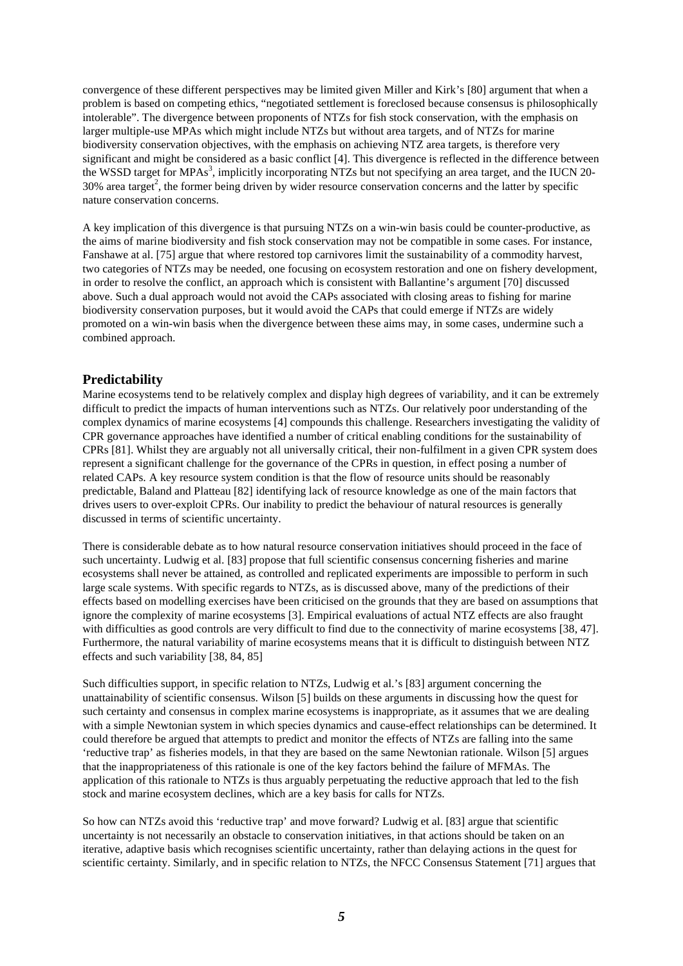convergence of these different perspectives may be limited given Miller and Kirk's [80] argument that when a problem is based on competing ethics, "negotiated settlement is foreclosed because consensus is philosophically intolerable". The divergence between proponents of NTZs for fish stock conservation, with the emphasis on larger multiple-use MPAs which might include NTZs but without area targets, and of NTZs for marine biodiversity conservation objectives, with the emphasis on achieving NTZ area targets, is therefore very significant and might be considered as a basic conflict [4]. This divergence is reflected in the difference between the WSSD target for MPAs<sup>3</sup>, implicitly incorporating NTZs but not specifying an area target, and the IUCN 20-30% area target<sup>2</sup>, the former being driven by wider resource conservation concerns and the latter by specific nature conservation concerns.

A key implication of this divergence is that pursuing NTZs on a win-win basis could be counter-productive, as the aims of marine biodiversity and fish stock conservation may not be compatible in some cases. For instance, Fanshawe at al. [75] argue that where restored top carnivores limit the sustainability of a commodity harvest, two categories of NTZs may be needed, one focusing on ecosystem restoration and one on fishery development, in order to resolve the conflict, an approach which is consistent with Ballantine's argument [70] discussed above. Such a dual approach would not avoid the CAPs associated with closing areas to fishing for marine biodiversity conservation purposes, but it would avoid the CAPs that could emerge if NTZs are widely promoted on a win-win basis when the divergence between these aims may, in some cases, undermine such a combined approach.

## **Predictability**

Marine ecosystems tend to be relatively complex and display high degrees of variability, and it can be extremely difficult to predict the impacts of human interventions such as NTZs. Our relatively poor understanding of the complex dynamics of marine ecosystems [4] compounds this challenge. Researchers investigating the validity of CPR governance approaches have identified a number of critical enabling conditions for the sustainability of CPRs [81]. Whilst they are arguably not all universally critical, their non-fulfilment in a given CPR system does represent a significant challenge for the governance of the CPRs in question, in effect posing a number of related CAPs. A key resource system condition is that the flow of resource units should be reasonably predictable, Baland and Platteau [82] identifying lack of resource knowledge as one of the main factors that drives users to over-exploit CPRs. Our inability to predict the behaviour of natural resources is generally discussed in terms of scientific uncertainty.

There is considerable debate as to how natural resource conservation initiatives should proceed in the face of such uncertainty. Ludwig et al. [83] propose that full scientific consensus concerning fisheries and marine ecosystems shall never be attained, as controlled and replicated experiments are impossible to perform in such large scale systems. With specific regards to NTZs, as is discussed above, many of the predictions of their effects based on modelling exercises have been criticised on the grounds that they are based on assumptions that ignore the complexity of marine ecosystems [3]. Empirical evaluations of actual NTZ effects are also fraught with difficulties as good controls are very difficult to find due to the connectivity of marine ecosystems [38, 47]. Furthermore, the natural variability of marine ecosystems means that it is difficult to distinguish between NTZ effects and such variability [38, 84, 85]

Such difficulties support, in specific relation to NTZs, Ludwig et al.'s [83] argument concerning the unattainability of scientific consensus. Wilson [5] builds on these arguments in discussing how the quest for such certainty and consensus in complex marine ecosystems is inappropriate, as it assumes that we are dealing with a simple Newtonian system in which species dynamics and cause-effect relationships can be determined. It could therefore be argued that attempts to predict and monitor the effects of NTZs are falling into the same 'reductive trap' as fisheries models, in that they are based on the same Newtonian rationale. Wilson [5] argues that the inappropriateness of this rationale is one of the key factors behind the failure of MFMAs. The application of this rationale to NTZs is thus arguably perpetuating the reductive approach that led to the fish stock and marine ecosystem declines, which are a key basis for calls for NTZs.

So how can NTZs avoid this 'reductive trap' and move forward? Ludwig et al. [83] argue that scientific uncertainty is not necessarily an obstacle to conservation initiatives, in that actions should be taken on an iterative, adaptive basis which recognises scientific uncertainty, rather than delaying actions in the quest for scientific certainty. Similarly, and in specific relation to NTZs, the NFCC Consensus Statement [71] argues that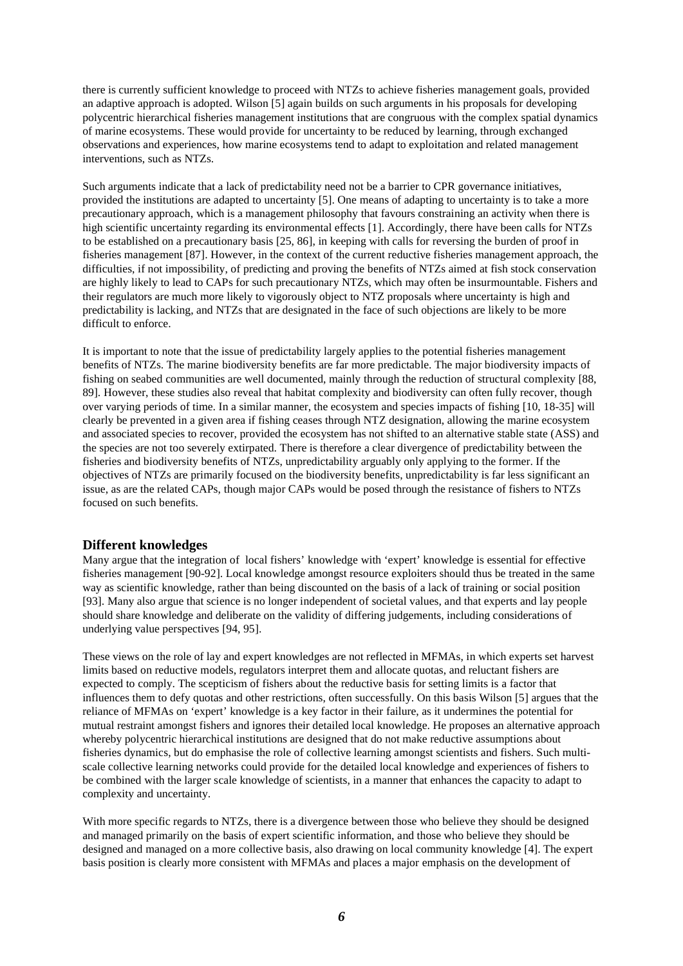there is currently sufficient knowledge to proceed with NTZs to achieve fisheries management goals, provided an adaptive approach is adopted. Wilson [5] again builds on such arguments in his proposals for developing polycentric hierarchical fisheries management institutions that are congruous with the complex spatial dynamics of marine ecosystems. These would provide for uncertainty to be reduced by learning, through exchanged observations and experiences, how marine ecosystems tend to adapt to exploitation and related management interventions, such as NTZs.

Such arguments indicate that a lack of predictability need not be a barrier to CPR governance initiatives, provided the institutions are adapted to uncertainty [5]. One means of adapting to uncertainty is to take a more precautionary approach, which is a management philosophy that favours constraining an activity when there is high scientific uncertainty regarding its environmental effects [1]. Accordingly, there have been calls for NTZs to be established on a precautionary basis [25, 86], in keeping with calls for reversing the burden of proof in fisheries management [87]. However, in the context of the current reductive fisheries management approach, the difficulties, if not impossibility, of predicting and proving the benefits of NTZs aimed at fish stock conservation are highly likely to lead to CAPs for such precautionary NTZs, which may often be insurmountable. Fishers and their regulators are much more likely to vigorously object to NTZ proposals where uncertainty is high and predictability is lacking, and NTZs that are designated in the face of such objections are likely to be more difficult to enforce.

It is important to note that the issue of predictability largely applies to the potential fisheries management benefits of NTZs. The marine biodiversity benefits are far more predictable. The major biodiversity impacts of fishing on seabed communities are well documented, mainly through the reduction of structural complexity [88, 89]. However, these studies also reveal that habitat complexity and biodiversity can often fully recover, though over varying periods of time. In a similar manner, the ecosystem and species impacts of fishing [10, 18-35] will clearly be prevented in a given area if fishing ceases through NTZ designation, allowing the marine ecosystem and associated species to recover, provided the ecosystem has not shifted to an alternative stable state (ASS) and the species are not too severely extirpated. There is therefore a clear divergence of predictability between the fisheries and biodiversity benefits of NTZs, unpredictability arguably only applying to the former. If the objectives of NTZs are primarily focused on the biodiversity benefits, unpredictability is far less significant an issue, as are the related CAPs, though major CAPs would be posed through the resistance of fishers to NTZs focused on such benefits.

#### **Different knowledges**

Many argue that the integration of local fishers' knowledge with 'expert' knowledge is essential for effective fisheries management [90-92]. Local knowledge amongst resource exploiters should thus be treated in the same way as scientific knowledge, rather than being discounted on the basis of a lack of training or social position [93]. Many also argue that science is no longer independent of societal values, and that experts and lay people should share knowledge and deliberate on the validity of differing judgements, including considerations of underlying value perspectives [94, 95].

These views on the role of lay and expert knowledges are not reflected in MFMAs, in which experts set harvest limits based on reductive models, regulators interpret them and allocate quotas, and reluctant fishers are expected to comply. The scepticism of fishers about the reductive basis for setting limits is a factor that influences them to defy quotas and other restrictions, often successfully. On this basis Wilson [5] argues that the reliance of MFMAs on 'expert' knowledge is a key factor in their failure, as it undermines the potential for mutual restraint amongst fishers and ignores their detailed local knowledge. He proposes an alternative approach whereby polycentric hierarchical institutions are designed that do not make reductive assumptions about fisheries dynamics, but do emphasise the role of collective learning amongst scientists and fishers. Such multiscale collective learning networks could provide for the detailed local knowledge and experiences of fishers to be combined with the larger scale knowledge of scientists, in a manner that enhances the capacity to adapt to complexity and uncertainty.

With more specific regards to NTZs, there is a divergence between those who believe they should be designed and managed primarily on the basis of expert scientific information, and those who believe they should be designed and managed on a more collective basis, also drawing on local community knowledge [4]. The expert basis position is clearly more consistent with MFMAs and places a major emphasis on the development of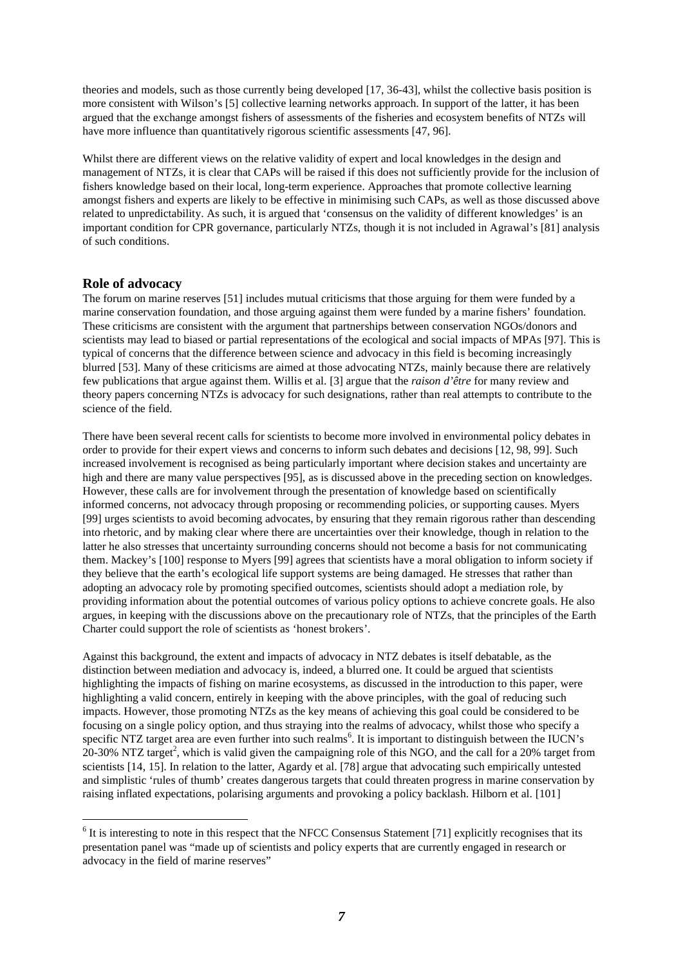theories and models, such as those currently being developed [17, 36-43], whilst the collective basis position is more consistent with Wilson's [5] collective learning networks approach. In support of the latter, it has been argued that the exchange amongst fishers of assessments of the fisheries and ecosystem benefits of NTZs will have more influence than quantitatively rigorous scientific assessments [47, 96].

Whilst there are different views on the relative validity of expert and local knowledges in the design and management of NTZs, it is clear that CAPs will be raised if this does not sufficiently provide for the inclusion of fishers knowledge based on their local, long-term experience. Approaches that promote collective learning amongst fishers and experts are likely to be effective in minimising such CAPs, as well as those discussed above related to unpredictability. As such, it is argued that 'consensus on the validity of different knowledges' is an important condition for CPR governance, particularly NTZs, though it is not included in Agrawal's [81] analysis of such conditions.

#### **Role of advocacy**

1

The forum on marine reserves [51] includes mutual criticisms that those arguing for them were funded by a marine conservation foundation, and those arguing against them were funded by a marine fishers' foundation. These criticisms are consistent with the argument that partnerships between conservation NGOs/donors and scientists may lead to biased or partial representations of the ecological and social impacts of MPAs [97]. This is typical of concerns that the difference between science and advocacy in this field is becoming increasingly blurred [53]. Many of these criticisms are aimed at those advocating NTZs, mainly because there are relatively few publications that argue against them. Willis et al. [3] argue that the *raison d'être* for many review and theory papers concerning NTZs is advocacy for such designations, rather than real attempts to contribute to the science of the field.

There have been several recent calls for scientists to become more involved in environmental policy debates in order to provide for their expert views and concerns to inform such debates and decisions [12, 98, 99]. Such increased involvement is recognised as being particularly important where decision stakes and uncertainty are high and there are many value perspectives [95], as is discussed above in the preceding section on knowledges. However, these calls are for involvement through the presentation of knowledge based on scientifically informed concerns, not advocacy through proposing or recommending policies, or supporting causes. Myers [99] urges scientists to avoid becoming advocates, by ensuring that they remain rigorous rather than descending into rhetoric, and by making clear where there are uncertainties over their knowledge, though in relation to the latter he also stresses that uncertainty surrounding concerns should not become a basis for not communicating them. Mackey's [100] response to Myers [99] agrees that scientists have a moral obligation to inform society if they believe that the earth's ecological life support systems are being damaged. He stresses that rather than adopting an advocacy role by promoting specified outcomes, scientists should adopt a mediation role, by providing information about the potential outcomes of various policy options to achieve concrete goals. He also argues, in keeping with the discussions above on the precautionary role of NTZs, that the principles of the Earth Charter could support the role of scientists as 'honest brokers'.

Against this background, the extent and impacts of advocacy in NTZ debates is itself debatable, as the distinction between mediation and advocacy is, indeed, a blurred one. It could be argued that scientists highlighting the impacts of fishing on marine ecosystems, as discussed in the introduction to this paper, were highlighting a valid concern, entirely in keeping with the above principles, with the goal of reducing such impacts. However, those promoting NTZs as the key means of achieving this goal could be considered to be focusing on a single policy option, and thus straying into the realms of advocacy, whilst those who specify a specific NTZ target area are even further into such realms<sup>6</sup>. It is important to distinguish between the IUCN's 20-30% NTZ target<sup>2</sup>, which is valid given the campaigning role of this NGO, and the call for a 20% target from scientists [14, 15]. In relation to the latter, Agardy et al. [78] argue that advocating such empirically untested and simplistic 'rules of thumb' creates dangerous targets that could threaten progress in marine conservation by raising inflated expectations, polarising arguments and provoking a policy backlash. Hilborn et al. [101]

 $6$  It is interesting to note in this respect that the NFCC Consensus Statement [71] explicitly recognises that its presentation panel was "made up of scientists and policy experts that are currently engaged in research or advocacy in the field of marine reserves"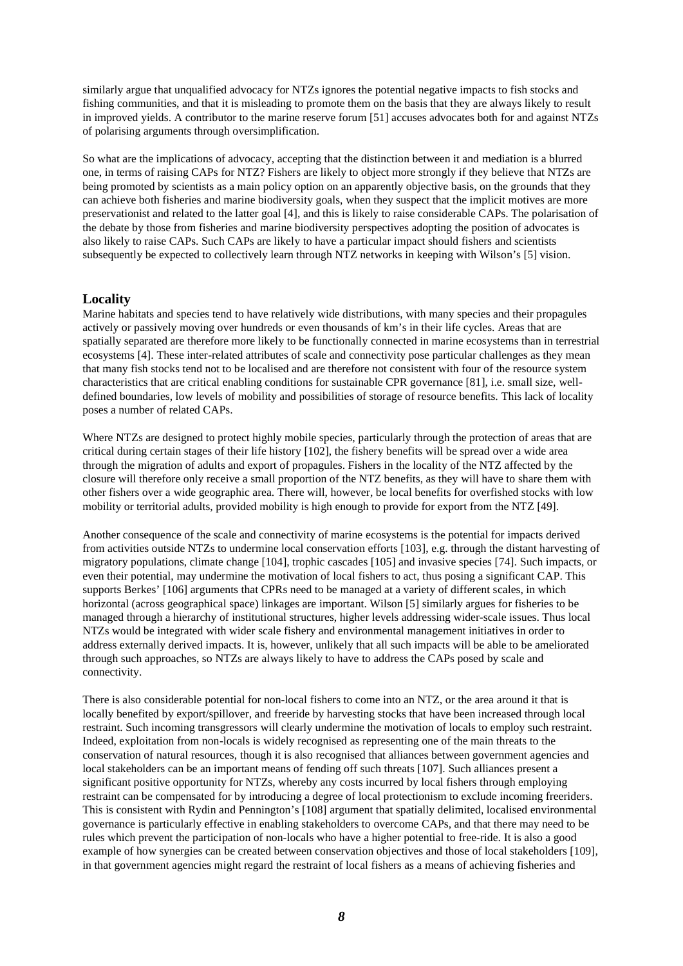similarly argue that unqualified advocacy for NTZs ignores the potential negative impacts to fish stocks and fishing communities, and that it is misleading to promote them on the basis that they are always likely to result in improved yields. A contributor to the marine reserve forum [51] accuses advocates both for and against NTZs of polarising arguments through oversimplification.

So what are the implications of advocacy, accepting that the distinction between it and mediation is a blurred one, in terms of raising CAPs for NTZ? Fishers are likely to object more strongly if they believe that NTZs are being promoted by scientists as a main policy option on an apparently objective basis, on the grounds that they can achieve both fisheries and marine biodiversity goals, when they suspect that the implicit motives are more preservationist and related to the latter goal [4], and this is likely to raise considerable CAPs. The polarisation of the debate by those from fisheries and marine biodiversity perspectives adopting the position of advocates is also likely to raise CAPs. Such CAPs are likely to have a particular impact should fishers and scientists subsequently be expected to collectively learn through NTZ networks in keeping with Wilson's [5] vision.

#### **Locality**

Marine habitats and species tend to have relatively wide distributions, with many species and their propagules actively or passively moving over hundreds or even thousands of km's in their life cycles. Areas that are spatially separated are therefore more likely to be functionally connected in marine ecosystems than in terrestrial ecosystems [4]. These inter-related attributes of scale and connectivity pose particular challenges as they mean that many fish stocks tend not to be localised and are therefore not consistent with four of the resource system characteristics that are critical enabling conditions for sustainable CPR governance [81], i.e. small size, welldefined boundaries, low levels of mobility and possibilities of storage of resource benefits. This lack of locality poses a number of related CAPs.

Where NTZs are designed to protect highly mobile species, particularly through the protection of areas that are critical during certain stages of their life history [102], the fishery benefits will be spread over a wide area through the migration of adults and export of propagules. Fishers in the locality of the NTZ affected by the closure will therefore only receive a small proportion of the NTZ benefits, as they will have to share them with other fishers over a wide geographic area. There will, however, be local benefits for overfished stocks with low mobility or territorial adults, provided mobility is high enough to provide for export from the NTZ [49].

Another consequence of the scale and connectivity of marine ecosystems is the potential for impacts derived from activities outside NTZs to undermine local conservation efforts [103], e.g. through the distant harvesting of migratory populations, climate change [104], trophic cascades [105] and invasive species [74]. Such impacts, or even their potential, may undermine the motivation of local fishers to act, thus posing a significant CAP. This supports Berkes' [106] arguments that CPRs need to be managed at a variety of different scales, in which horizontal (across geographical space) linkages are important. Wilson [5] similarly argues for fisheries to be managed through a hierarchy of institutional structures, higher levels addressing wider-scale issues. Thus local NTZs would be integrated with wider scale fishery and environmental management initiatives in order to address externally derived impacts. It is, however, unlikely that all such impacts will be able to be ameliorated through such approaches, so NTZs are always likely to have to address the CAPs posed by scale and connectivity.

There is also considerable potential for non-local fishers to come into an NTZ, or the area around it that is locally benefited by export/spillover, and freeride by harvesting stocks that have been increased through local restraint. Such incoming transgressors will clearly undermine the motivation of locals to employ such restraint. Indeed, exploitation from non-locals is widely recognised as representing one of the main threats to the conservation of natural resources, though it is also recognised that alliances between government agencies and local stakeholders can be an important means of fending off such threats [107]. Such alliances present a significant positive opportunity for NTZs, whereby any costs incurred by local fishers through employing restraint can be compensated for by introducing a degree of local protectionism to exclude incoming freeriders. This is consistent with Rydin and Pennington's [108] argument that spatially delimited, localised environmental governance is particularly effective in enabling stakeholders to overcome CAPs, and that there may need to be rules which prevent the participation of non-locals who have a higher potential to free-ride. It is also a good example of how synergies can be created between conservation objectives and those of local stakeholders [109], in that government agencies might regard the restraint of local fishers as a means of achieving fisheries and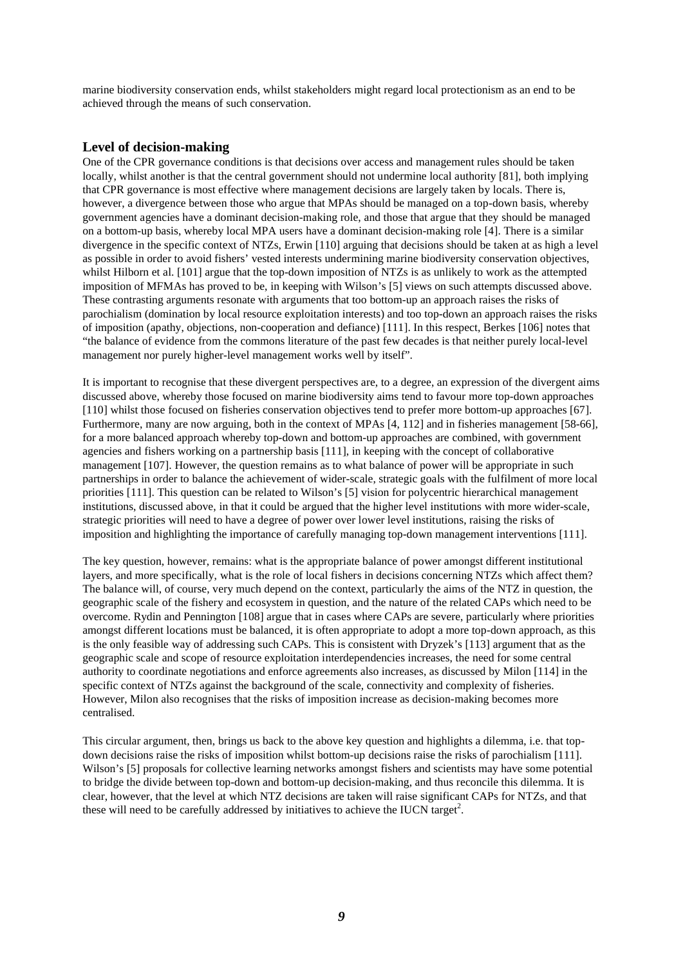marine biodiversity conservation ends, whilst stakeholders might regard local protectionism as an end to be achieved through the means of such conservation.

#### **Level of decision-making**

One of the CPR governance conditions is that decisions over access and management rules should be taken locally, whilst another is that the central government should not undermine local authority [81], both implying that CPR governance is most effective where management decisions are largely taken by locals. There is, however, a divergence between those who argue that MPAs should be managed on a top-down basis, whereby government agencies have a dominant decision-making role, and those that argue that they should be managed on a bottom-up basis, whereby local MPA users have a dominant decision-making role [4]. There is a similar divergence in the specific context of NTZs, Erwin [110] arguing that decisions should be taken at as high a level as possible in order to avoid fishers' vested interests undermining marine biodiversity conservation objectives, whilst Hilborn et al. [101] argue that the top-down imposition of NTZs is as unlikely to work as the attempted imposition of MFMAs has proved to be, in keeping with Wilson's [5] views on such attempts discussed above. These contrasting arguments resonate with arguments that too bottom-up an approach raises the risks of parochialism (domination by local resource exploitation interests) and too top-down an approach raises the risks of imposition (apathy, objections, non-cooperation and defiance) [111]. In this respect, Berkes [106] notes that "the balance of evidence from the commons literature of the past few decades is that neither purely local-level management nor purely higher-level management works well by itself".

It is important to recognise that these divergent perspectives are, to a degree, an expression of the divergent aims discussed above, whereby those focused on marine biodiversity aims tend to favour more top-down approaches [110] whilst those focused on fisheries conservation objectives tend to prefer more bottom-up approaches [67]. Furthermore, many are now arguing, both in the context of MPAs [4, 112] and in fisheries management [58-66], for a more balanced approach whereby top-down and bottom-up approaches are combined, with government agencies and fishers working on a partnership basis [111], in keeping with the concept of collaborative management [107]. However, the question remains as to what balance of power will be appropriate in such partnerships in order to balance the achievement of wider-scale, strategic goals with the fulfilment of more local priorities [111]. This question can be related to Wilson's [5] vision for polycentric hierarchical management institutions, discussed above, in that it could be argued that the higher level institutions with more wider-scale, strategic priorities will need to have a degree of power over lower level institutions, raising the risks of imposition and highlighting the importance of carefully managing top-down management interventions [111].

The key question, however, remains: what is the appropriate balance of power amongst different institutional layers, and more specifically, what is the role of local fishers in decisions concerning NTZs which affect them? The balance will, of course, very much depend on the context, particularly the aims of the NTZ in question, the geographic scale of the fishery and ecosystem in question, and the nature of the related CAPs which need to be overcome. Rydin and Pennington [108] argue that in cases where CAPs are severe, particularly where priorities amongst different locations must be balanced, it is often appropriate to adopt a more top-down approach, as this is the only feasible way of addressing such CAPs. This is consistent with Dryzek's [113] argument that as the geographic scale and scope of resource exploitation interdependencies increases, the need for some central authority to coordinate negotiations and enforce agreements also increases, as discussed by Milon [114] in the specific context of NTZs against the background of the scale, connectivity and complexity of fisheries. However, Milon also recognises that the risks of imposition increase as decision-making becomes more centralised.

This circular argument, then, brings us back to the above key question and highlights a dilemma, i.e. that topdown decisions raise the risks of imposition whilst bottom-up decisions raise the risks of parochialism [111]. Wilson's [5] proposals for collective learning networks amongst fishers and scientists may have some potential to bridge the divide between top-down and bottom-up decision-making, and thus reconcile this dilemma. It is clear, however, that the level at which NTZ decisions are taken will raise significant CAPs for NTZs, and that these will need to be carefully addressed by initiatives to achieve the IUCN target<sup>2</sup>.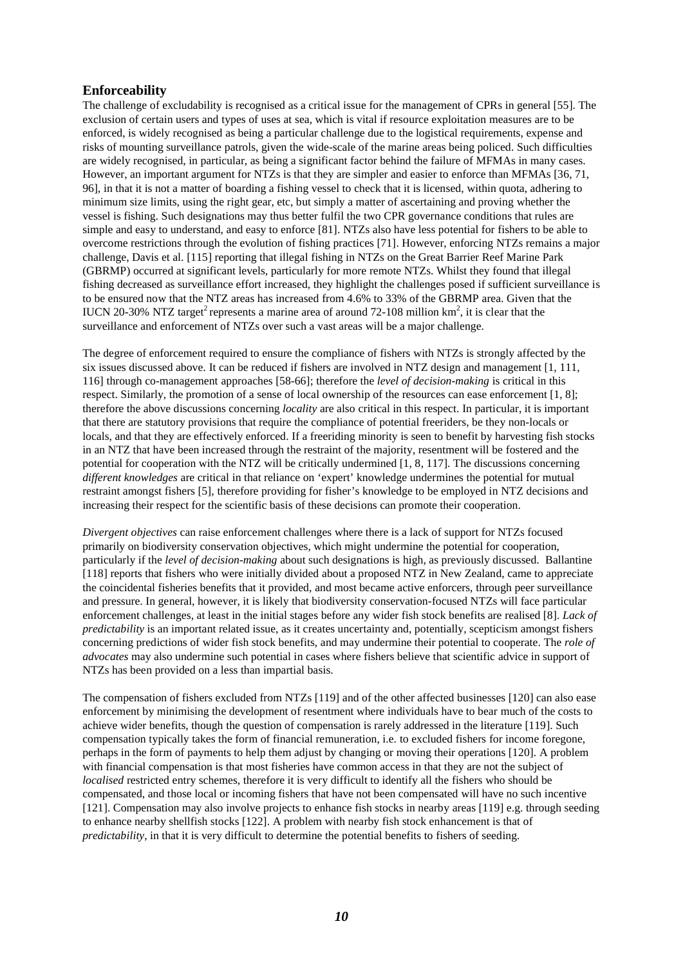# **Enforceability**

The challenge of excludability is recognised as a critical issue for the management of CPRs in general [55]. The exclusion of certain users and types of uses at sea, which is vital if resource exploitation measures are to be enforced, is widely recognised as being a particular challenge due to the logistical requirements, expense and risks of mounting surveillance patrols, given the wide-scale of the marine areas being policed. Such difficulties are widely recognised, in particular, as being a significant factor behind the failure of MFMAs in many cases. However, an important argument for NTZs is that they are simpler and easier to enforce than MFMAs [36, 71, 96], in that it is not a matter of boarding a fishing vessel to check that it is licensed, within quota, adhering to minimum size limits, using the right gear, etc, but simply a matter of ascertaining and proving whether the vessel is fishing. Such designations may thus better fulfil the two CPR governance conditions that rules are simple and easy to understand, and easy to enforce [81]. NTZs also have less potential for fishers to be able to overcome restrictions through the evolution of fishing practices [71]. However, enforcing NTZs remains a major challenge, Davis et al. [115] reporting that illegal fishing in NTZs on the Great Barrier Reef Marine Park (GBRMP) occurred at significant levels, particularly for more remote NTZs. Whilst they found that illegal fishing decreased as surveillance effort increased, they highlight the challenges posed if sufficient surveillance is to be ensured now that the NTZ areas has increased from 4.6% to 33% of the GBRMP area. Given that the IUCN 20-30% NTZ target<sup>2</sup> represents a marine area of around 72-108 million  $km^2$ , it is clear that the surveillance and enforcement of NTZs over such a vast areas will be a major challenge.

The degree of enforcement required to ensure the compliance of fishers with NTZs is strongly affected by the six issues discussed above. It can be reduced if fishers are involved in NTZ design and management [1, 111, 116] through co-management approaches [58-66]; therefore the *level of decision-making* is critical in this respect. Similarly, the promotion of a sense of local ownership of the resources can ease enforcement [1, 8]; therefore the above discussions concerning *locality* are also critical in this respect. In particular, it is important that there are statutory provisions that require the compliance of potential freeriders, be they non-locals or locals, and that they are effectively enforced. If a freeriding minority is seen to benefit by harvesting fish stocks in an NTZ that have been increased through the restraint of the majority, resentment will be fostered and the potential for cooperation with the NTZ will be critically undermined [1, 8, 117]. The discussions concerning *different knowledges* are critical in that reliance on 'expert' knowledge undermines the potential for mutual restraint amongst fishers [5], therefore providing for fisher's knowledge to be employed in NTZ decisions and increasing their respect for the scientific basis of these decisions can promote their cooperation.

*Divergent objectives* can raise enforcement challenges where there is a lack of support for NTZs focused primarily on biodiversity conservation objectives, which might undermine the potential for cooperation, particularly if the *level of decision-making* about such designations is high, as previously discussed. Ballantine [118] reports that fishers who were initially divided about a proposed NTZ in New Zealand, came to appreciate the coincidental fisheries benefits that it provided, and most became active enforcers, through peer surveillance and pressure. In general, however, it is likely that biodiversity conservation-focused NTZs will face particular enforcement challenges, at least in the initial stages before any wider fish stock benefits are realised [8]. *Lack of predictability* is an important related issue, as it creates uncertainty and, potentially, scepticism amongst fishers concerning predictions of wider fish stock benefits, and may undermine their potential to cooperate. The *role of advocates* may also undermine such potential in cases where fishers believe that scientific advice in support of NTZs has been provided on a less than impartial basis.

The compensation of fishers excluded from NTZs [119] and of the other affected businesses [120] can also ease enforcement by minimising the development of resentment where individuals have to bear much of the costs to achieve wider benefits, though the question of compensation is rarely addressed in the literature [119]. Such compensation typically takes the form of financial remuneration, i.e. to excluded fishers for income foregone, perhaps in the form of payments to help them adjust by changing or moving their operations [120]. A problem with financial compensation is that most fisheries have common access in that they are not the subject of *localised* restricted entry schemes, therefore it is very difficult to identify all the fishers who should be compensated, and those local or incoming fishers that have not been compensated will have no such incentive [121]. Compensation may also involve projects to enhance fish stocks in nearby areas [119] e.g. through seeding to enhance nearby shellfish stocks [122]. A problem with nearby fish stock enhancement is that of *predictability*, in that it is very difficult to determine the potential benefits to fishers of seeding.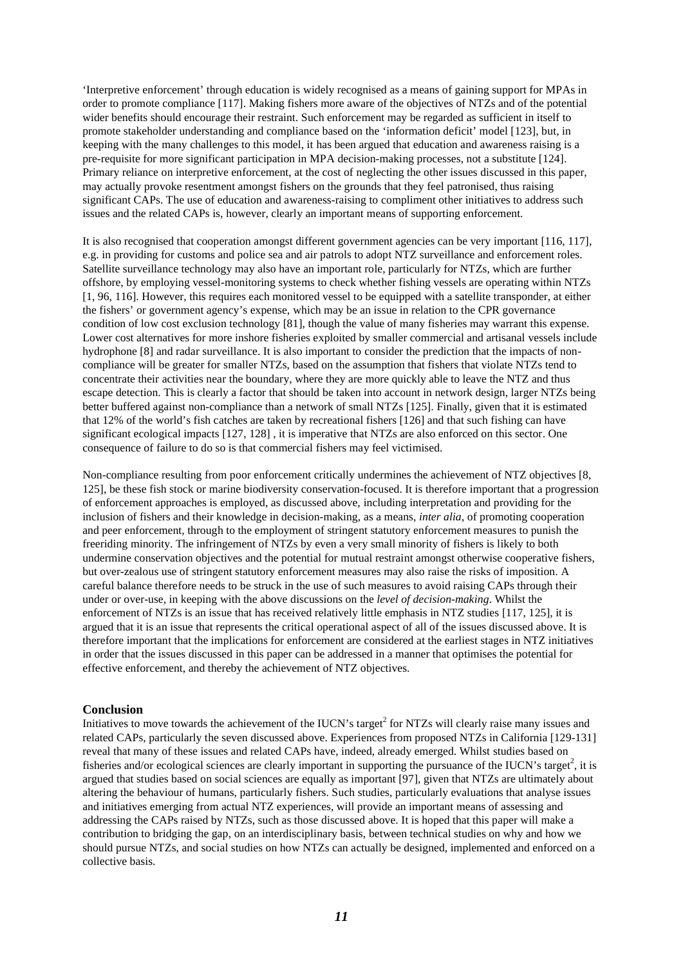'Interpretive enforcement' through education is widely recognised as a means of gaining support for MPAs in order to promote compliance [117]. Making fishers more aware of the objectives of NTZs and of the potential wider benefits should encourage their restraint. Such enforcement may be regarded as sufficient in itself to promote stakeholder understanding and compliance based on the 'information deficit' model [123], but, in keeping with the many challenges to this model, it has been argued that education and awareness raising is a pre-requisite for more significant participation in MPA decision-making processes, not a substitute [124]. Primary reliance on interpretive enforcement, at the cost of neglecting the other issues discussed in this paper, may actually provoke resentment amongst fishers on the grounds that they feel patronised, thus raising significant CAPs. The use of education and awareness-raising to compliment other initiatives to address such issues and the related CAPs is, however, clearly an important means of supporting enforcement.

It is also recognised that cooperation amongst different government agencies can be very important [116, 117], e.g. in providing for customs and police sea and air patrols to adopt NTZ surveillance and enforcement roles. Satellite surveillance technology may also have an important role, particularly for NTZs, which are further offshore, by employing vessel-monitoring systems to check whether fishing vessels are operating within NTZs [1, 96, 116]. However, this requires each monitored vessel to be equipped with a satellite transponder, at either the fishers' or government agency's expense, which may be an issue in relation to the CPR governance condition of low cost exclusion technology [81], though the value of many fisheries may warrant this expense. Lower cost alternatives for more inshore fisheries exploited by smaller commercial and artisanal vessels include hydrophone [8] and radar surveillance. It is also important to consider the prediction that the impacts of noncompliance will be greater for smaller NTZs, based on the assumption that fishers that violate NTZs tend to concentrate their activities near the boundary, where they are more quickly able to leave the NTZ and thus escape detection. This is clearly a factor that should be taken into account in network design, larger NTZs being better buffered against non-compliance than a network of small NTZs [125]. Finally, given that it is estimated that 12% of the world's fish catches are taken by recreational fishers [126] and that such fishing can have significant ecological impacts [127, 128] , it is imperative that NTZs are also enforced on this sector. One consequence of failure to do so is that commercial fishers may feel victimised.

Non-compliance resulting from poor enforcement critically undermines the achievement of NTZ objectives [8, 125], be these fish stock or marine biodiversity conservation-focused. It is therefore important that a progression of enforcement approaches is employed, as discussed above, including interpretation and providing for the inclusion of fishers and their knowledge in decision-making, as a means, *inter alia*, of promoting cooperation and peer enforcement, through to the employment of stringent statutory enforcement measures to punish the freeriding minority. The infringement of NTZs by even a very small minority of fishers is likely to both undermine conservation objectives and the potential for mutual restraint amongst otherwise cooperative fishers, but over-zealous use of stringent statutory enforcement measures may also raise the risks of imposition. A careful balance therefore needs to be struck in the use of such measures to avoid raising CAPs through their under or over-use, in keeping with the above discussions on the *level of decision-making*. Whilst the enforcement of NTZs is an issue that has received relatively little emphasis in NTZ studies [117, 125], it is argued that it is an issue that represents the critical operational aspect of all of the issues discussed above. It is therefore important that the implications for enforcement are considered at the earliest stages in NTZ initiatives in order that the issues discussed in this paper can be addressed in a manner that optimises the potential for effective enforcement, and thereby the achievement of NTZ objectives.

#### **Conclusion**

Initiatives to move towards the achievement of the IUCN's target<sup>2</sup> for NTZs will clearly raise many issues and related CAPs, particularly the seven discussed above. Experiences from proposed NTZs in California [129-131] reveal that many of these issues and related CAPs have, indeed, already emerged. Whilst studies based on fisheries and/or ecological sciences are clearly important in supporting the pursuance of the IUCN's target<sup>2</sup>, it is argued that studies based on social sciences are equally as important [97], given that NTZs are ultimately about altering the behaviour of humans, particularly fishers. Such studies, particularly evaluations that analyse issues and initiatives emerging from actual NTZ experiences, will provide an important means of assessing and addressing the CAPs raised by NTZs, such as those discussed above. It is hoped that this paper will make a contribution to bridging the gap, on an interdisciplinary basis, between technical studies on why and how we should pursue NTZs, and social studies on how NTZs can actually be designed, implemented and enforced on a collective basis.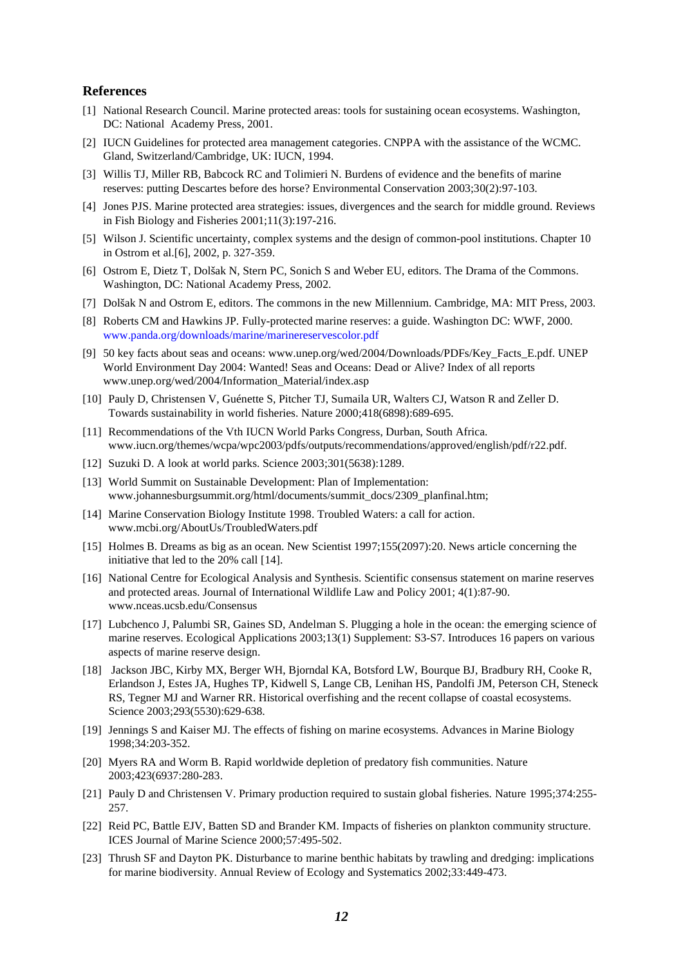#### **References**

- [1] National Research Council. Marine protected areas: tools for sustaining ocean ecosystems. Washington, DC: National Academy Press, 2001.
- [2] IUCN Guidelines for protected area management categories. CNPPA with the assistance of the WCMC. Gland, Switzerland/Cambridge, UK: IUCN, 1994.
- [3] Willis TJ, Miller RB, Babcock RC and Tolimieri N. Burdens of evidence and the benefits of marine reserves: putting Descartes before des horse? Environmental Conservation 2003;30(2):97-103.
- [4] Jones PJS. Marine protected area strategies: issues, divergences and the search for middle ground. Reviews in Fish Biology and Fisheries 2001;11(3):197-216.
- [5] Wilson J. Scientific uncertainty, complex systems and the design of common-pool institutions. Chapter 10 in Ostrom et al.[6], 2002, p. 327-359.
- [6] Ostrom E, Dietz T, Dolšak N, Stern PC, Sonich S and Weber EU, editors. The Drama of the Commons. Washington, DC: National Academy Press, 2002.
- [7] Dolšak N and Ostrom E, editors. The commons in the new Millennium. Cambridge, MA: MIT Press, 2003.
- [8] Roberts CM and Hawkins JP. Fully-protected marine reserves: a guide. Washington DC: WWF, 2000. www.panda.org/downloads/marine/marinereservescolor.pdf
- [9] 50 key facts about seas and oceans: www.unep.org/wed/2004/Downloads/PDFs/Key\_Facts\_E.pdf. UNEP World Environment Day 2004: Wanted! Seas and Oceans: Dead or Alive? Index of all reports www.unep.org/wed/2004/Information\_Material/index.asp
- [10] Pauly D, Christensen V, Guénette S, Pitcher TJ, Sumaila UR, Walters CJ, Watson R and Zeller D. Towards sustainability in world fisheries. Nature 2000;418(6898):689-695.
- [11] Recommendations of the Vth IUCN World Parks Congress, Durban, South Africa. www.iucn.org/themes/wcpa/wpc2003/pdfs/outputs/recommendations/approved/english/pdf/r22.pdf.
- [12] Suzuki D. A look at world parks. Science 2003;301(5638):1289.
- [13] World Summit on Sustainable Development: Plan of Implementation: www.johannesburgsummit.org/html/documents/summit\_docs/2309\_planfinal.htm;
- [14] Marine Conservation Biology Institute 1998. Troubled Waters: a call for action. www.mcbi.org/AboutUs/TroubledWaters.pdf
- [15] Holmes B. Dreams as big as an ocean. New Scientist 1997;155(2097):20. News article concerning the initiative that led to the 20% call [14].
- [16] National Centre for Ecological Analysis and Synthesis. Scientific consensus statement on marine reserves and protected areas. Journal of International Wildlife Law and Policy 2001; 4(1):87-90. www.nceas.ucsb.edu/Consensus
- [17] Lubchenco J, Palumbi SR, Gaines SD, Andelman S. Plugging a hole in the ocean: the emerging science of marine reserves. Ecological Applications 2003;13(1) Supplement: S3-S7. Introduces 16 papers on various aspects of marine reserve design.
- [18] Jackson JBC, Kirby MX, Berger WH, Bjorndal KA, Botsford LW, Bourque BJ, Bradbury RH, Cooke R, Erlandson J, Estes JA, Hughes TP, Kidwell S, Lange CB, Lenihan HS, Pandolfi JM, Peterson CH, Steneck RS, Tegner MJ and Warner RR. Historical overfishing and the recent collapse of coastal ecosystems. Science 2003;293(5530):629-638.
- [19] Jennings S and Kaiser MJ. The effects of fishing on marine ecosystems. Advances in Marine Biology 1998;34:203-352.
- [20] Myers RA and Worm B. Rapid worldwide depletion of predatory fish communities. Nature 2003;423(6937:280-283.
- [21] Pauly D and Christensen V. Primary production required to sustain global fisheries. Nature 1995;374:255- 257.
- [22] Reid PC, Battle EJV, Batten SD and Brander KM. Impacts of fisheries on plankton community structure. ICES Journal of Marine Science 2000;57:495-502.
- [23] Thrush SF and Dayton PK. Disturbance to marine benthic habitats by trawling and dredging: implications for marine biodiversity. Annual Review of Ecology and Systematics 2002;33:449-473.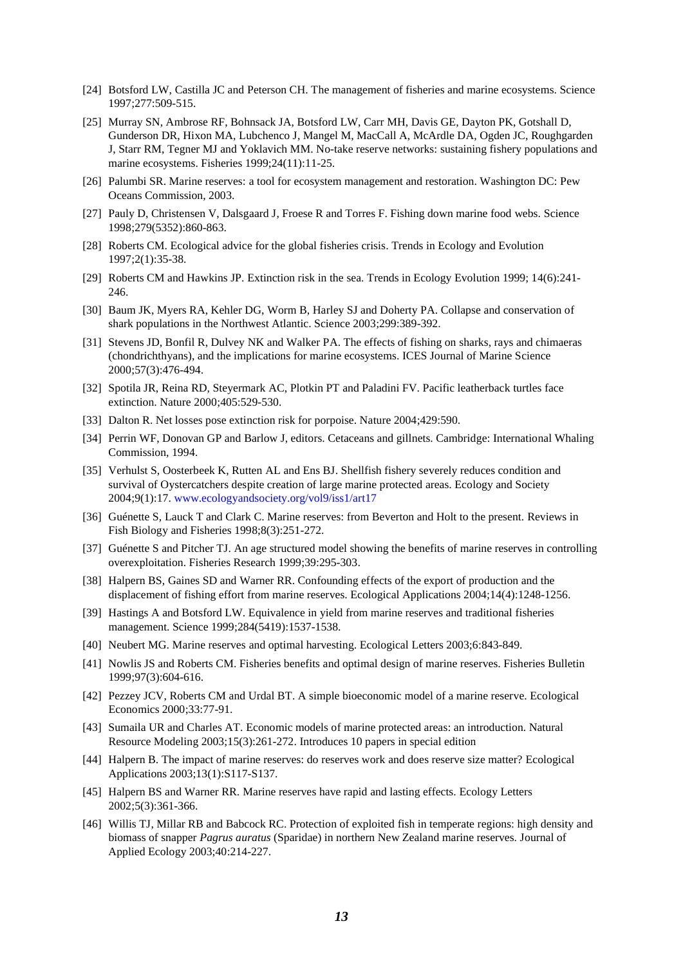- [24] Botsford LW, Castilla JC and Peterson CH. The management of fisheries and marine ecosystems. Science 1997;277:509-515.
- [25] Murray SN, Ambrose RF, Bohnsack JA, Botsford LW, Carr MH, Davis GE, Dayton PK, Gotshall D, Gunderson DR, Hixon MA, Lubchenco J, Mangel M, MacCall A, McArdle DA, Ogden JC, Roughgarden J, Starr RM, Tegner MJ and Yoklavich MM. No-take reserve networks: sustaining fishery populations and marine ecosystems. Fisheries 1999;24(11):11-25.
- [26] Palumbi SR. Marine reserves: a tool for ecosystem management and restoration. Washington DC: Pew Oceans Commission, 2003.
- [27] Pauly D, Christensen V, Dalsgaard J, Froese R and Torres F. Fishing down marine food webs. Science 1998;279(5352):860-863.
- [28] Roberts CM. Ecological advice for the global fisheries crisis. Trends in Ecology and Evolution 1997;2(1):35-38.
- [29] Roberts CM and Hawkins JP. Extinction risk in the sea. Trends in Ecology Evolution 1999; 14(6):241- 246.
- [30] Baum JK, Myers RA, Kehler DG, Worm B, Harley SJ and Doherty PA. Collapse and conservation of shark populations in the Northwest Atlantic. Science 2003;299:389-392.
- [31] Stevens JD, Bonfil R, Dulvey NK and Walker PA. The effects of fishing on sharks, rays and chimaeras (chondrichthyans), and the implications for marine ecosystems. ICES Journal of Marine Science 2000;57(3):476-494.
- [32] Spotila JR, Reina RD, Steyermark AC, Plotkin PT and Paladini FV. Pacific leatherback turtles face extinction. Nature 2000;405:529-530.
- [33] Dalton R. Net losses pose extinction risk for porpoise. Nature 2004;429:590.
- [34] Perrin WF, Donovan GP and Barlow J, editors. Cetaceans and gillnets. Cambridge: International Whaling Commission, 1994.
- [35] Verhulst S, Oosterbeek K, Rutten AL and Ens BJ. Shellfish fishery severely reduces condition and survival of Oystercatchers despite creation of large marine protected areas. Ecology and Society 2004;9(1):17. www.ecologyandsociety.org/vol9/iss1/art17
- [36] Guénette S, Lauck T and Clark C. Marine reserves: from Beverton and Holt to the present. Reviews in Fish Biology and Fisheries 1998;8(3):251-272.
- [37] Guénette S and Pitcher TJ. An age structured model showing the benefits of marine reserves in controlling overexploitation. Fisheries Research 1999;39:295-303.
- [38] Halpern BS, Gaines SD and Warner RR. Confounding effects of the export of production and the displacement of fishing effort from marine reserves. Ecological Applications 2004;14(4):1248-1256.
- [39] Hastings A and Botsford LW. Equivalence in yield from marine reserves and traditional fisheries management. Science 1999;284(5419):1537-1538.
- [40] Neubert MG. Marine reserves and optimal harvesting. Ecological Letters 2003;6:843-849.
- [41] Nowlis JS and Roberts CM. Fisheries benefits and optimal design of marine reserves. Fisheries Bulletin 1999;97(3):604-616.
- [42] Pezzey JCV, Roberts CM and Urdal BT. A simple bioeconomic model of a marine reserve. Ecological Economics 2000;33:77-91.
- [43] Sumaila UR and Charles AT. Economic models of marine protected areas: an introduction. Natural Resource Modeling 2003;15(3):261-272. Introduces 10 papers in special edition
- [44] Halpern B. The impact of marine reserves: do reserves work and does reserve size matter? Ecological Applications 2003;13(1):S117-S137.
- [45] Halpern BS and Warner RR. Marine reserves have rapid and lasting effects. Ecology Letters 2002;5(3):361-366.
- [46] Willis TJ, Millar RB and Babcock RC. Protection of exploited fish in temperate regions: high density and biomass of snapper *Pagrus auratus* (Sparidae) in northern New Zealand marine reserves. Journal of Applied Ecology 2003;40:214-227.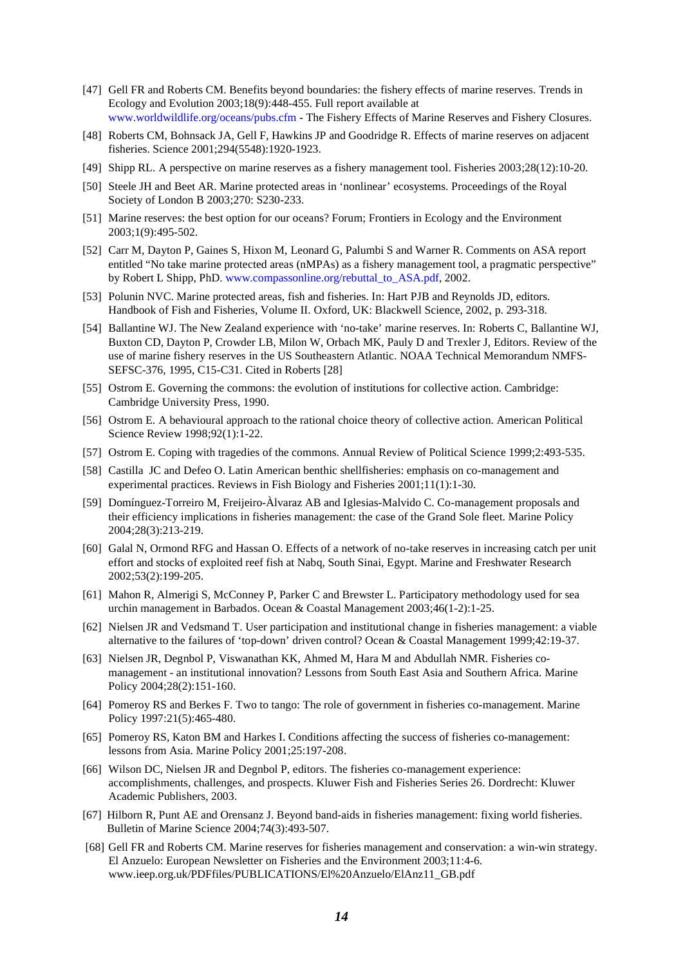- [47] Gell FR and Roberts CM. Benefits beyond boundaries: the fishery effects of marine reserves. Trends in Ecology and Evolution 2003;18(9):448-455. Full report available at www.worldwildlife.org/oceans/pubs.cfm - The Fishery Effects of Marine Reserves and Fishery Closures.
- [48] Roberts CM, Bohnsack JA, Gell F, Hawkins JP and Goodridge R. Effects of marine reserves on adjacent fisheries. Science 2001;294(5548):1920-1923.
- [49] Shipp RL. A perspective on marine reserves as a fishery management tool. Fisheries 2003;28(12):10-20.
- [50] Steele JH and Beet AR. Marine protected areas in 'nonlinear' ecosystems. Proceedings of the Royal Society of London B 2003;270: S230-233.
- [51] Marine reserves: the best option for our oceans? Forum; Frontiers in Ecology and the Environment 2003;1(9):495-502.
- [52] Carr M, Dayton P, Gaines S, Hixon M, Leonard G, Palumbi S and Warner R. Comments on ASA report entitled "No take marine protected areas (nMPAs) as a fishery management tool, a pragmatic perspective" by Robert L Shipp, PhD. www.compassonline.org/rebuttal\_to\_ASA.pdf, 2002.
- [53] Polunin NVC. Marine protected areas, fish and fisheries. In: Hart PJB and Reynolds JD, editors. Handbook of Fish and Fisheries, Volume II. Oxford, UK: Blackwell Science, 2002, p. 293-318.
- [54] Ballantine WJ. The New Zealand experience with 'no-take' marine reserves. In: Roberts C, Ballantine WJ, Buxton CD, Dayton P, Crowder LB, Milon W, Orbach MK, Pauly D and Trexler J, Editors. Review of the use of marine fishery reserves in the US Southeastern Atlantic. NOAA Technical Memorandum NMFS-SEFSC-376, 1995, C15-C31. Cited in Roberts [28]
- [55] Ostrom E. Governing the commons: the evolution of institutions for collective action. Cambridge: Cambridge University Press, 1990.
- [56] Ostrom E. A behavioural approach to the rational choice theory of collective action. American Political Science Review 1998;92(1):1-22.
- [57] Ostrom E. Coping with tragedies of the commons. Annual Review of Political Science 1999;2:493-535.
- [58] Castilla JC and Defeo O. Latin American benthic shellfisheries: emphasis on co-management and experimental practices. Reviews in Fish Biology and Fisheries 2001;11(1):1-30.
- [59] Domínguez-Torreiro M, Freijeiro-Àlvaraz AB and Iglesias-Malvido C. Co-management proposals and their efficiency implications in fisheries management: the case of the Grand Sole fleet. Marine Policy 2004;28(3):213-219.
- [60] Galal N, Ormond RFG and Hassan O. Effects of a network of no-take reserves in increasing catch per unit effort and stocks of exploited reef fish at Nabq, South Sinai, Egypt. Marine and Freshwater Research 2002;53(2):199-205.
- [61] Mahon R, Almerigi S, McConney P, Parker C and Brewster L. Participatory methodology used for sea urchin management in Barbados. Ocean & Coastal Management 2003;46(1-2):1-25.
- [62] Nielsen JR and Vedsmand T. User participation and institutional change in fisheries management: a viable alternative to the failures of 'top-down' driven control? Ocean & Coastal Management 1999;42:19-37.
- [63] Nielsen JR, Degnbol P, Viswanathan KK, Ahmed M, Hara M and Abdullah NMR. Fisheries comanagement - an institutional innovation? Lessons from South East Asia and Southern Africa. Marine Policy 2004;28(2):151-160.
- [64] Pomeroy RS and Berkes F. Two to tango: The role of government in fisheries co-management. Marine Policy 1997:21(5):465-480.
- [65] Pomeroy RS, Katon BM and Harkes I. Conditions affecting the success of fisheries co-management: lessons from Asia. Marine Policy 2001;25:197-208.
- [66] Wilson DC, Nielsen JR and Degnbol P, editors. The fisheries co-management experience: accomplishments, challenges, and prospects. Kluwer Fish and Fisheries Series 26. Dordrecht: Kluwer Academic Publishers, 2003.
- [67] Hilborn R, Punt AE and Orensanz J. Beyond band-aids in fisheries management: fixing world fisheries. Bulletin of Marine Science 2004;74(3):493-507.
- [68] Gell FR and Roberts CM. Marine reserves for fisheries management and conservation: a win-win strategy. El Anzuelo: European Newsletter on Fisheries and the Environment 2003;11:4-6. www.ieep.org.uk/PDFfiles/PUBLICATIONS/El%20Anzuelo/ElAnz11\_GB.pdf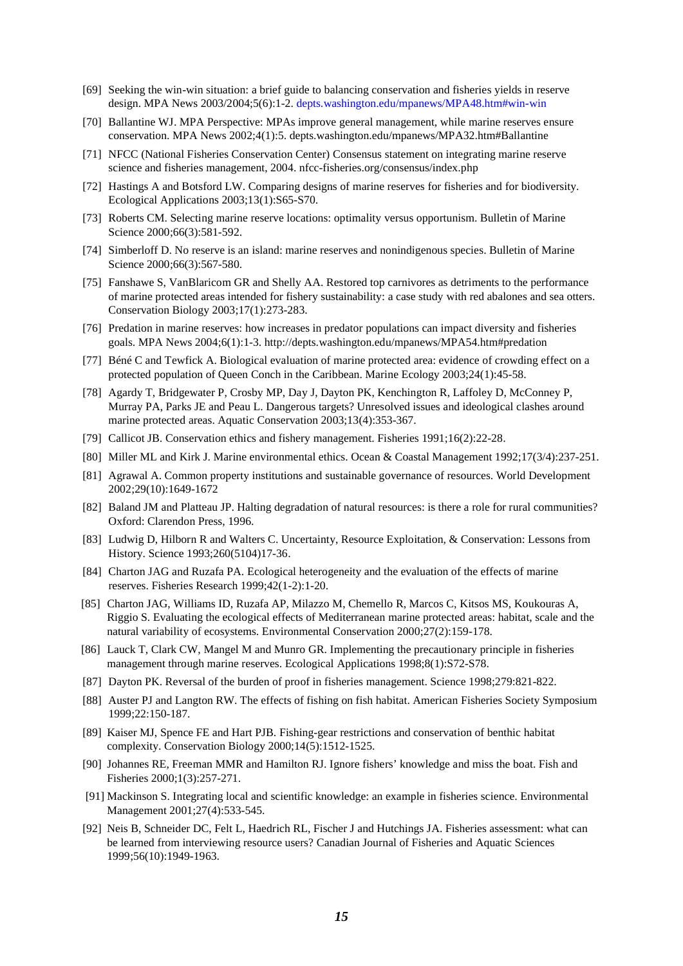- [69] Seeking the win-win situation: a brief guide to balancing conservation and fisheries yields in reserve design. MPA News 2003/2004;5(6):1-2. depts.washington.edu/mpanews/MPA48.htm#win-win
- [70] Ballantine WJ. MPA Perspective: MPAs improve general management, while marine reserves ensure conservation. MPA News 2002;4(1):5. depts.washington.edu/mpanews/MPA32.htm#Ballantine
- [71] NFCC (National Fisheries Conservation Center) Consensus statement on integrating marine reserve science and fisheries management, 2004. nfcc-fisheries.org/consensus/index.php
- [72] Hastings A and Botsford LW. Comparing designs of marine reserves for fisheries and for biodiversity. Ecological Applications 2003;13(1):S65-S70.
- [73] Roberts CM. Selecting marine reserve locations: optimality versus opportunism. Bulletin of Marine Science 2000;66(3):581-592.
- [74] Simberloff D. No reserve is an island: marine reserves and nonindigenous species. Bulletin of Marine Science 2000;66(3):567-580.
- [75] Fanshawe S, VanBlaricom GR and Shelly AA. Restored top carnivores as detriments to the performance of marine protected areas intended for fishery sustainability: a case study with red abalones and sea otters. Conservation Biology 2003;17(1):273-283.
- [76] Predation in marine reserves: how increases in predator populations can impact diversity and fisheries goals. MPA News 2004;6(1):1-3. http://depts.washington.edu/mpanews/MPA54.htm#predation
- [77] Béné C and Tewfick A. Biological evaluation of marine protected area: evidence of crowding effect on a protected population of Queen Conch in the Caribbean. Marine Ecology 2003;24(1):45-58.
- [78] Agardy T, Bridgewater P, Crosby MP, Day J, Dayton PK, Kenchington R, Laffoley D, McConney P, Murray PA, Parks JE and Peau L. Dangerous targets? Unresolved issues and ideological clashes around marine protected areas. Aquatic Conservation 2003;13(4):353-367.
- [79] Callicot JB. Conservation ethics and fishery management. Fisheries 1991;16(2):22-28.
- [80] Miller ML and Kirk J. Marine environmental ethics. Ocean & Coastal Management 1992;17(3/4):237-251.
- [81] Agrawal A. Common property institutions and sustainable governance of resources. World Development 2002;29(10):1649-1672
- [82] Baland JM and Platteau JP. Halting degradation of natural resources: is there a role for rural communities? Oxford: Clarendon Press, 1996.
- [83] Ludwig D, Hilborn R and Walters C. Uncertainty, Resource Exploitation, & Conservation: Lessons from History. Science 1993;260(5104)17-36.
- [84] Charton JAG and Ruzafa PA. Ecological heterogeneity and the evaluation of the effects of marine reserves. Fisheries Research 1999;42(1-2):1-20.
- [85] Charton JAG, Williams ID, Ruzafa AP, Milazzo M, Chemello R, Marcos C, Kitsos MS, Koukouras A, Riggio S. Evaluating the ecological effects of Mediterranean marine protected areas: habitat, scale and the natural variability of ecosystems. Environmental Conservation 2000;27(2):159-178.
- [86] Lauck T, Clark CW, Mangel M and Munro GR. Implementing the precautionary principle in fisheries management through marine reserves. Ecological Applications 1998;8(1):S72-S78.
- [87] Dayton PK. Reversal of the burden of proof in fisheries management. Science 1998;279:821-822.
- [88] Auster PJ and Langton RW. The effects of fishing on fish habitat. American Fisheries Society Symposium 1999;22:150-187.
- [89] Kaiser MJ, Spence FE and Hart PJB. Fishing-gear restrictions and conservation of benthic habitat complexity. Conservation Biology 2000;14(5):1512-1525.
- [90] Johannes RE, Freeman MMR and Hamilton RJ. Ignore fishers' knowledge and miss the boat. Fish and Fisheries 2000;1(3):257-271.
- [91] Mackinson S. Integrating local and scientific knowledge: an example in fisheries science. Environmental Management 2001;27(4):533-545.
- [92] Neis B, Schneider DC, Felt L, Haedrich RL, Fischer J and Hutchings JA. Fisheries assessment: what can be learned from interviewing resource users? Canadian Journal of Fisheries and Aquatic Sciences 1999;56(10):1949-1963.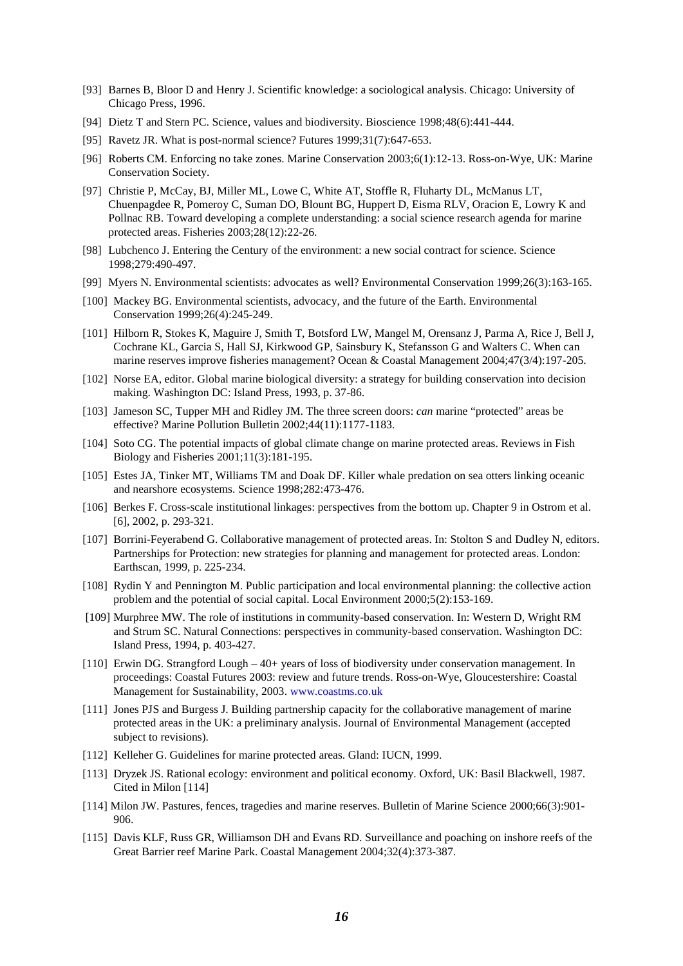- [93] Barnes B, Bloor D and Henry J. Scientific knowledge: a sociological analysis. Chicago: University of Chicago Press, 1996.
- [94] Dietz T and Stern PC. Science, values and biodiversity. Bioscience 1998;48(6):441-444.
- [95] Ravetz JR. What is post-normal science? Futures 1999;31(7):647-653.
- [96] Roberts CM. Enforcing no take zones. Marine Conservation 2003;6(1):12-13. Ross-on-Wye, UK: Marine Conservation Society.
- [97] Christie P, McCay, BJ, Miller ML, Lowe C, White AT, Stoffle R, Fluharty DL, McManus LT, Chuenpagdee R, Pomeroy C, Suman DO, Blount BG, Huppert D, Eisma RLV, Oracion E, Lowry K and Pollnac RB. Toward developing a complete understanding: a social science research agenda for marine protected areas. Fisheries 2003;28(12):22-26.
- [98] Lubchenco J. Entering the Century of the environment: a new social contract for science. Science 1998;279:490-497.
- [99] Myers N. Environmental scientists: advocates as well? Environmental Conservation 1999;26(3):163-165.
- [100] Mackey BG. Environmental scientists, advocacy, and the future of the Earth. Environmental Conservation 1999;26(4):245-249.
- [101] Hilborn R, Stokes K, Maguire J, Smith T, Botsford LW, Mangel M, Orensanz J, Parma A, Rice J, Bell J, Cochrane KL, Garcia S, Hall SJ, Kirkwood GP, Sainsbury K, Stefansson G and Walters C. When can marine reserves improve fisheries management? Ocean & Coastal Management 2004;47(3/4):197-205.
- [102] Norse EA, editor. Global marine biological diversity: a strategy for building conservation into decision making. Washington DC: Island Press, 1993, p. 37-86.
- [103] Jameson SC, Tupper MH and Ridley JM. The three screen doors: *can* marine "protected" areas be effective? Marine Pollution Bulletin 2002;44(11):1177-1183.
- [104] Soto CG. The potential impacts of global climate change on marine protected areas. Reviews in Fish Biology and Fisheries 2001;11(3):181-195.
- [105] Estes JA, Tinker MT, Williams TM and Doak DF. Killer whale predation on sea otters linking oceanic and nearshore ecosystems. Science 1998;282:473-476.
- [106] Berkes F. Cross-scale institutional linkages: perspectives from the bottom up. Chapter 9 in Ostrom et al. [6], 2002, p. 293-321.
- [107] Borrini-Feyerabend G. Collaborative management of protected areas. In: Stolton S and Dudley N, editors. Partnerships for Protection: new strategies for planning and management for protected areas. London: Earthscan, 1999, p. 225-234.
- [108] Rydin Y and Pennington M. Public participation and local environmental planning: the collective action problem and the potential of social capital. Local Environment 2000;5(2):153-169.
- [109] Murphree MW. The role of institutions in community-based conservation. In: Western D, Wright RM and Strum SC. Natural Connections: perspectives in community-based conservation. Washington DC: Island Press, 1994, p. 403-427.
- [110] Erwin DG. Strangford Lough 40+ years of loss of biodiversity under conservation management. In proceedings: Coastal Futures 2003: review and future trends. Ross-on-Wye, Gloucestershire: Coastal Management for Sustainability, 2003. www.coastms.co.uk
- [111] Jones PJS and Burgess J. Building partnership capacity for the collaborative management of marine protected areas in the UK: a preliminary analysis. Journal of Environmental Management (accepted subject to revisions).
- [112] Kelleher G. Guidelines for marine protected areas. Gland: IUCN, 1999.
- [113] Dryzek JS. Rational ecology: environment and political economy. Oxford, UK: Basil Blackwell, 1987. Cited in Milon [114]
- [114] Milon JW. Pastures, fences, tragedies and marine reserves. Bulletin of Marine Science 2000;66(3):901- 906.
- [115] Davis KLF, Russ GR, Williamson DH and Evans RD. Surveillance and poaching on inshore reefs of the Great Barrier reef Marine Park. Coastal Management 2004;32(4):373-387.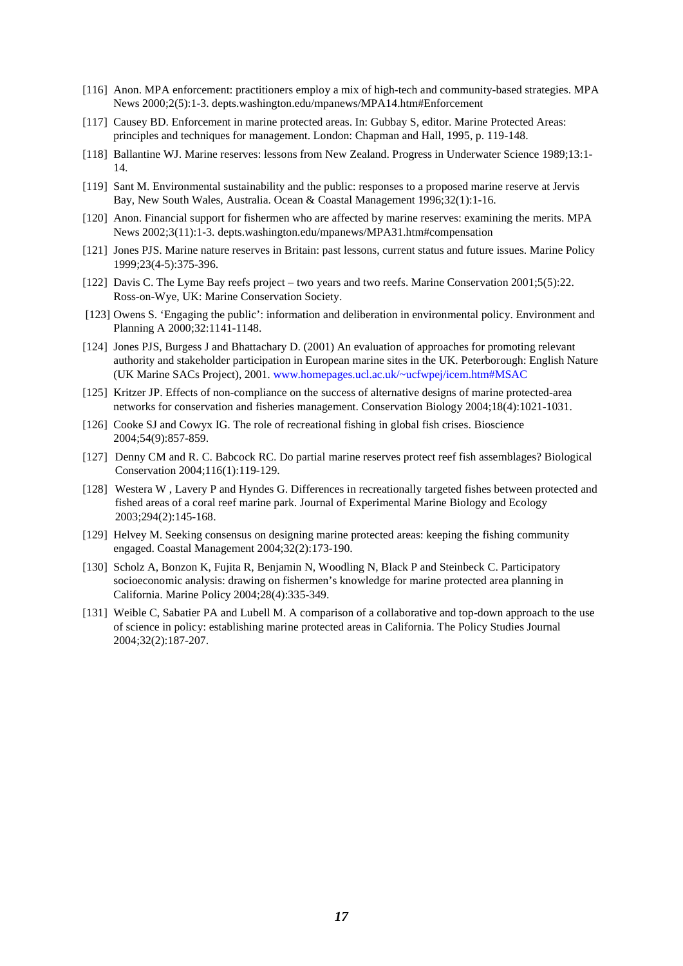- [116] Anon. MPA enforcement: practitioners employ a mix of high-tech and community-based strategies. MPA News 2000;2(5):1-3. depts.washington.edu/mpanews/MPA14.htm#Enforcement
- [117] Causey BD. Enforcement in marine protected areas. In: Gubbay S, editor. Marine Protected Areas: principles and techniques for management. London: Chapman and Hall, 1995, p. 119-148.
- [118] Ballantine WJ. Marine reserves: lessons from New Zealand. Progress in Underwater Science 1989;13:1- 14.
- [119] Sant M. Environmental sustainability and the public: responses to a proposed marine reserve at Jervis Bay, New South Wales, Australia. Ocean & Coastal Management 1996;32(1):1-16.
- [120] Anon. Financial support for fishermen who are affected by marine reserves: examining the merits. MPA News 2002;3(11):1-3. depts.washington.edu/mpanews/MPA31.htm#compensation
- [121] Jones PJS. Marine nature reserves in Britain: past lessons, current status and future issues. Marine Policy 1999;23(4-5):375-396.
- [122] Davis C. The Lyme Bay reefs project two years and two reefs. Marine Conservation 2001;5(5):22. Ross-on-Wye, UK: Marine Conservation Society.
- [123] Owens S. 'Engaging the public': information and deliberation in environmental policy. Environment and Planning A 2000;32:1141-1148.
- [124] Jones PJS, Burgess J and Bhattachary D. (2001) An evaluation of approaches for promoting relevant authority and stakeholder participation in European marine sites in the UK. Peterborough: English Nature (UK Marine SACs Project), 2001. www.homepages.ucl.ac.uk/~ucfwpej/icem.htm#MSAC
- [125] Kritzer JP. Effects of non-compliance on the success of alternative designs of marine protected-area networks for conservation and fisheries management. Conservation Biology 2004;18(4):1021-1031.
- [126] Cooke SJ and Cowyx IG. The role of recreational fishing in global fish crises. Bioscience 2004;54(9):857-859.
- [127] Denny CM and R. C. Babcock RC. Do partial marine reserves protect reef fish assemblages? Biological Conservation 2004;116(1):119-129.
- [128] Westera W , Lavery P and Hyndes G. Differences in recreationally targeted fishes between protected and fished areas of a coral reef marine park. Journal of Experimental Marine Biology and Ecology 2003;294(2):145-168.
- [129] Helvey M. Seeking consensus on designing marine protected areas: keeping the fishing community engaged. Coastal Management 2004;32(2):173-190.
- [130] Scholz A, Bonzon K, Fujita R, Benjamin N, Woodling N, Black P and Steinbeck C. Participatory socioeconomic analysis: drawing on fishermen's knowledge for marine protected area planning in California. Marine Policy 2004;28(4):335-349.
- [131] Weible C, Sabatier PA and Lubell M. A comparison of a collaborative and top-down approach to the use of science in policy: establishing marine protected areas in California. The Policy Studies Journal 2004;32(2):187-207.